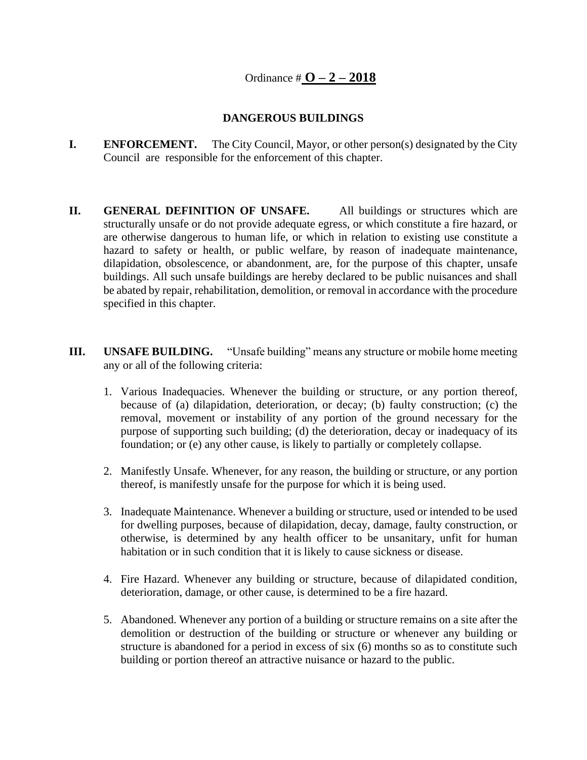## **DANGEROUS BUILDINGS**

- **I. ENFORCEMENT.** The City Council, Mayor, or other person(s) designated by the City Council are responsible for the enforcement of this chapter.
- **II. GENERAL DEFINITION OF UNSAFE.** All buildings or structures which are structurally unsafe or do not provide adequate egress, or which constitute a fire hazard, or are otherwise dangerous to human life, or which in relation to existing use constitute a hazard to safety or health, or public welfare, by reason of inadequate maintenance, dilapidation, obsolescence, or abandonment, are, for the purpose of this chapter, unsafe buildings. All such unsafe buildings are hereby declared to be public nuisances and shall be abated by repair, rehabilitation, demolition, or removal in accordance with the procedure specified in this chapter.
- **III. UNSAFE BUILDING.** "Unsafe building" means any structure or mobile home meeting any or all of the following criteria:
	- 1. Various Inadequacies. Whenever the building or structure, or any portion thereof, because of (a) dilapidation, deterioration, or decay; (b) faulty construction; (c) the removal, movement or instability of any portion of the ground necessary for the purpose of supporting such building; (d) the deterioration, decay or inadequacy of its foundation; or (e) any other cause, is likely to partially or completely collapse.
	- 2. Manifestly Unsafe. Whenever, for any reason, the building or structure, or any portion thereof, is manifestly unsafe for the purpose for which it is being used.
	- 3. Inadequate Maintenance. Whenever a building or structure, used or intended to be used for dwelling purposes, because of dilapidation, decay, damage, faulty construction, or otherwise, is determined by any health officer to be unsanitary, unfit for human habitation or in such condition that it is likely to cause sickness or disease.
	- 4. Fire Hazard. Whenever any building or structure, because of dilapidated condition, deterioration, damage, or other cause, is determined to be a fire hazard.
	- 5. Abandoned. Whenever any portion of a building or structure remains on a site after the demolition or destruction of the building or structure or whenever any building or structure is abandoned for a period in excess of six (6) months so as to constitute such building or portion thereof an attractive nuisance or hazard to the public.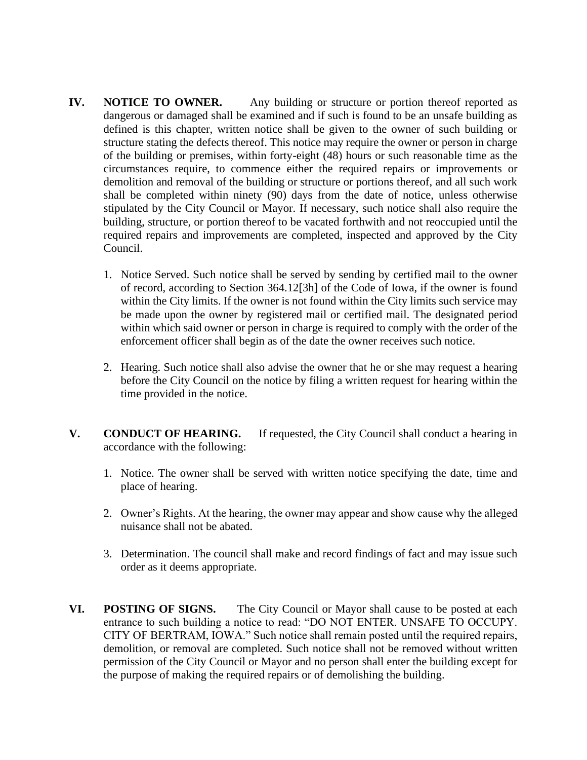- **IV. NOTICE TO OWNER.** Any building or structure or portion thereof reported as dangerous or damaged shall be examined and if such is found to be an unsafe building as defined is this chapter, written notice shall be given to the owner of such building or structure stating the defects thereof. This notice may require the owner or person in charge of the building or premises, within forty-eight (48) hours or such reasonable time as the circumstances require, to commence either the required repairs or improvements or demolition and removal of the building or structure or portions thereof, and all such work shall be completed within ninety (90) days from the date of notice, unless otherwise stipulated by the City Council or Mayor. If necessary, such notice shall also require the building, structure, or portion thereof to be vacated forthwith and not reoccupied until the required repairs and improvements are completed, inspected and approved by the City Council.
	- 1. Notice Served. Such notice shall be served by sending by certified mail to the owner of record, according to Section 364.12[3h] of the Code of Iowa, if the owner is found within the City limits. If the owner is not found within the City limits such service may be made upon the owner by registered mail or certified mail. The designated period within which said owner or person in charge is required to comply with the order of the enforcement officer shall begin as of the date the owner receives such notice.
	- 2. Hearing. Such notice shall also advise the owner that he or she may request a hearing before the City Council on the notice by filing a written request for hearing within the time provided in the notice.
- **V. CONDUCT OF HEARING.** If requested, the City Council shall conduct a hearing in accordance with the following:
	- 1. Notice. The owner shall be served with written notice specifying the date, time and place of hearing.
	- 2. Owner's Rights. At the hearing, the owner may appear and show cause why the alleged nuisance shall not be abated.
	- 3. Determination. The council shall make and record findings of fact and may issue such order as it deems appropriate.
- **VI. POSTING OF SIGNS.** The City Council or Mayor shall cause to be posted at each entrance to such building a notice to read: "DO NOT ENTER. UNSAFE TO OCCUPY. CITY OF BERTRAM, IOWA." Such notice shall remain posted until the required repairs, demolition, or removal are completed. Such notice shall not be removed without written permission of the City Council or Mayor and no person shall enter the building except for the purpose of making the required repairs or of demolishing the building.